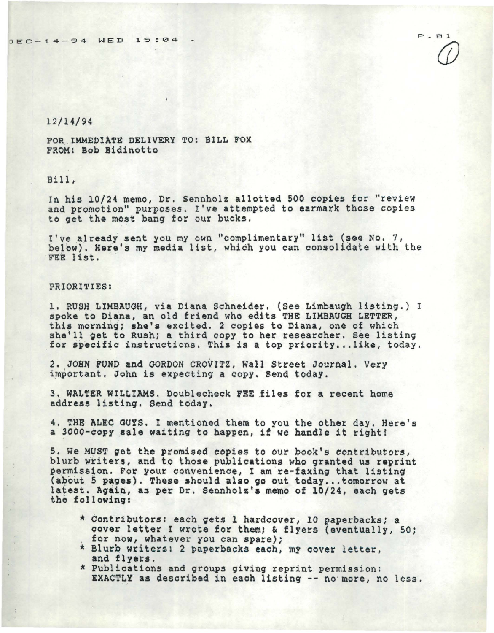$P.01$  $\mathcal{D}$ 

## 12/14/94

FOR IMMEDIATE DELIVERY TO: BILL FOX FROM: Bob Bidinotto

Bill,

In his 10/24 memo, Dr. Sennholz allotted 500 copies for ''review and promotion" purposes. I've attempted to earmark those copies to *get* the most bang for our bucks.

I've already sent you my own "complimentary" list (see No. 7, below). Here's my media list, which you can consolidate with the FEE list.

## PRIORITIES:

1, RUSH LIMBAUGH, via Diana Schneider. (See Limbaugh listing.) I spoke to Diana, an old friend who edits THE LIMBAUGH LETTER, this morning; she's excited. 2 copies to Diana, one of which<br>she'll get to Rush; a third copy to her researcher. See listing for specific instructions. This is a top priority...like, today.

2. JOHN FUND and GORDON CROVITZ, Wall Street Journal. Very important. John is expecting a copy. Send today.

3. WALTER WILLIAMS. Doublecheck FEE files for a recent home address listing. Send today.

4. THE ALEC GUYS. I mentioned them to you the other day. Here's a 3000-eopy sale waiting to happen, if we handle it right!

5. We MUST get the promised copies to our book's contributors,<br>blurb writers, and to those publications who granted us reprint permission. For your convenience, I am re-faxing that listing (about 5 pages). These should also go out today ... tomorrow at latest. Again, as per Dr. Sennholz's memo of 10/24, each gets the following:

- \* Contributors: each gets l hardcover, 10 paperbacks; a cover letter I wrote for them; & flyers (eventually, 50;<br>for now, whatever you can spare);
- \* Blurb writers: 2 paperbacks each, my cover letter, and flyers.
- \* Publications and groups giving reprint permission:<br>EXACTLY as described in each listing -- no more, no less.